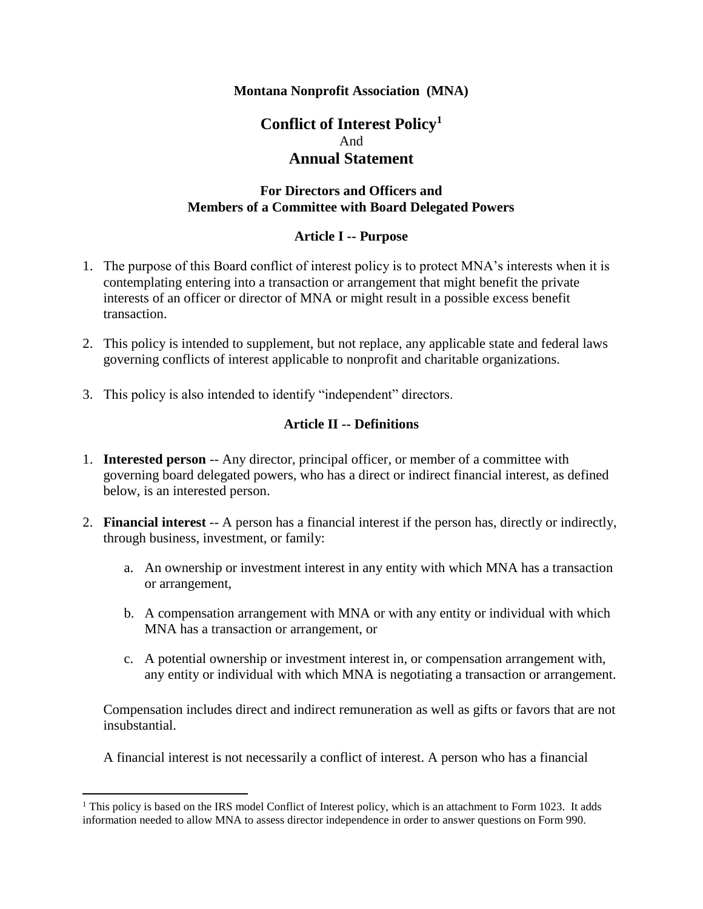#### **Montana Nonprofit Association (MNA)**

# **Conflict of Interest Policy<sup>1</sup>** And **Annual Statement**

### **For Directors and Officers and Members of a Committee with Board Delegated Powers**

#### **Article I -- Purpose**

- 1. The purpose of this Board conflict of interest policy is to protect MNA's interests when it is contemplating entering into a transaction or arrangement that might benefit the private interests of an officer or director of MNA or might result in a possible excess benefit transaction.
- 2. This policy is intended to supplement, but not replace, any applicable state and federal laws governing conflicts of interest applicable to nonprofit and charitable organizations.
- 3. This policy is also intended to identify "independent" directors.

#### **Article II -- Definitions**

- 1. **Interested person** -- Any director, principal officer, or member of a committee with governing board delegated powers, who has a direct or indirect financial interest, as defined below, is an interested person.
- 2. **Financial interest** -- A person has a financial interest if the person has, directly or indirectly, through business, investment, or family:
	- a. An ownership or investment interest in any entity with which MNA has a transaction or arrangement,
	- b. A compensation arrangement with MNA or with any entity or individual with which MNA has a transaction or arrangement, or
	- c. A potential ownership or investment interest in, or compensation arrangement with, any entity or individual with which MNA is negotiating a transaction or arrangement.

Compensation includes direct and indirect remuneration as well as gifts or favors that are not insubstantial.

A financial interest is not necessarily a conflict of interest. A person who has a financial

 $\overline{a}$ 

 $<sup>1</sup>$  This policy is based on the IRS model Conflict of Interest policy, which is an attachment to Form 1023. It adds</sup> information needed to allow MNA to assess director independence in order to answer questions on Form 990.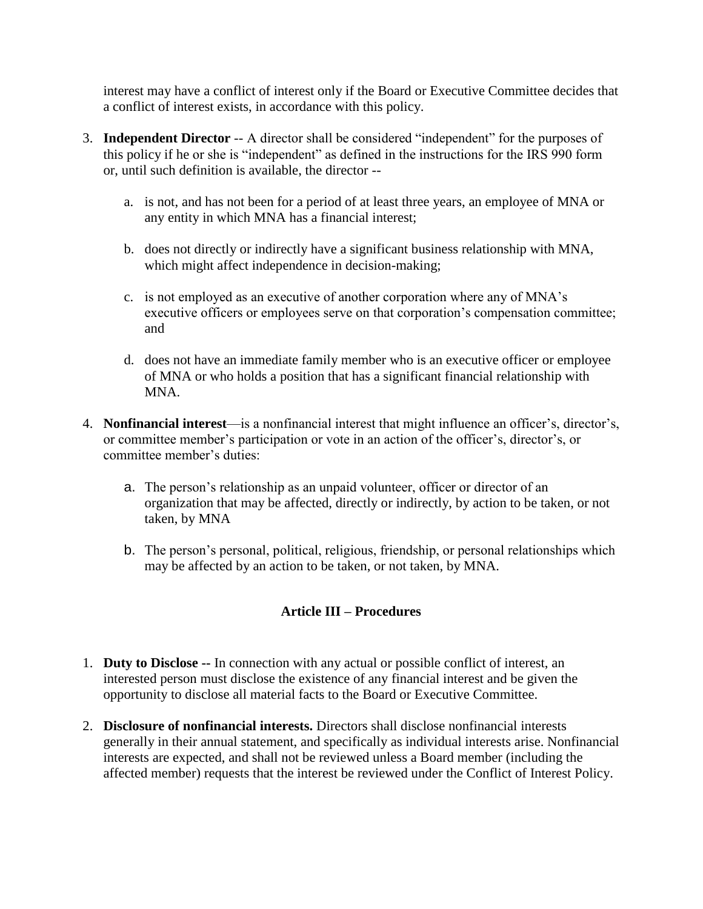interest may have a conflict of interest only if the Board or Executive Committee decides that a conflict of interest exists, in accordance with this policy.

- 3. **Independent Director** -- A director shall be considered "independent" for the purposes of this policy if he or she is "independent" as defined in the instructions for the IRS 990 form or, until such definition is available, the director -
	- a. is not, and has not been for a period of at least three years, an employee of MNA or any entity in which MNA has a financial interest;
	- b. does not directly or indirectly have a significant business relationship with MNA, which might affect independence in decision-making;
	- c. is not employed as an executive of another corporation where any of MNA's executive officers or employees serve on that corporation's compensation committee; and
	- d. does not have an immediate family member who is an executive officer or employee of MNA or who holds a position that has a significant financial relationship with MNA.
- 4. **Nonfinancial interest**—is a nonfinancial interest that might influence an officer's, director's, or committee member's participation or vote in an action of the officer's, director's, or committee member's duties:
	- a. The person's relationship as an unpaid volunteer, officer or director of an organization that may be affected, directly or indirectly, by action to be taken, or not taken, by MNA
	- b. The person's personal, political, religious, friendship, or personal relationships which may be affected by an action to be taken, or not taken, by MNA.

## **Article III – Procedures**

- 1. **Duty to Disclose --** In connection with any actual or possible conflict of interest, an interested person must disclose the existence of any financial interest and be given the opportunity to disclose all material facts to the Board or Executive Committee.
- 2. **Disclosure of nonfinancial interests.** Directors shall disclose nonfinancial interests generally in their annual statement, and specifically as individual interests arise. Nonfinancial interests are expected, and shall not be reviewed unless a Board member (including the affected member) requests that the interest be reviewed under the Conflict of Interest Policy.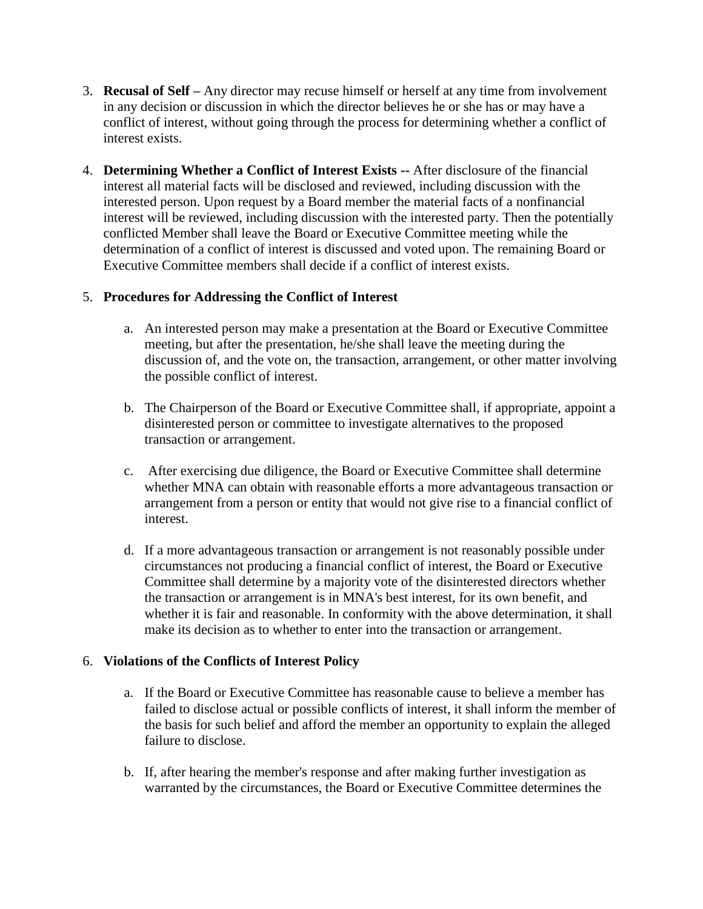- 3. **Recusal of Self –** Any director may recuse himself or herself at any time from involvement in any decision or discussion in which the director believes he or she has or may have a conflict of interest, without going through the process for determining whether a conflict of interest exists.
- 4. **Determining Whether a Conflict of Interest Exists --** After disclosure of the financial interest all material facts will be disclosed and reviewed, including discussion with the interested person. Upon request by a Board member the material facts of a nonfinancial interest will be reviewed, including discussion with the interested party. Then the potentially conflicted Member shall leave the Board or Executive Committee meeting while the determination of a conflict of interest is discussed and voted upon. The remaining Board or Executive Committee members shall decide if a conflict of interest exists.

### 5. **Procedures for Addressing the Conflict of Interest**

- a. An interested person may make a presentation at the Board or Executive Committee meeting, but after the presentation, he/she shall leave the meeting during the discussion of, and the vote on, the transaction, arrangement, or other matter involving the possible conflict of interest.
- b. The Chairperson of the Board or Executive Committee shall, if appropriate, appoint a disinterested person or committee to investigate alternatives to the proposed transaction or arrangement.
- c. After exercising due diligence, the Board or Executive Committee shall determine whether MNA can obtain with reasonable efforts a more advantageous transaction or arrangement from a person or entity that would not give rise to a financial conflict of interest.
- d. If a more advantageous transaction or arrangement is not reasonably possible under circumstances not producing a financial conflict of interest, the Board or Executive Committee shall determine by a majority vote of the disinterested directors whether the transaction or arrangement is in MNA's best interest, for its own benefit, and whether it is fair and reasonable. In conformity with the above determination, it shall make its decision as to whether to enter into the transaction or arrangement.

### 6. **Violations of the Conflicts of Interest Policy**

- a. If the Board or Executive Committee has reasonable cause to believe a member has failed to disclose actual or possible conflicts of interest, it shall inform the member of the basis for such belief and afford the member an opportunity to explain the alleged failure to disclose.
- b. If, after hearing the member's response and after making further investigation as warranted by the circumstances, the Board or Executive Committee determines the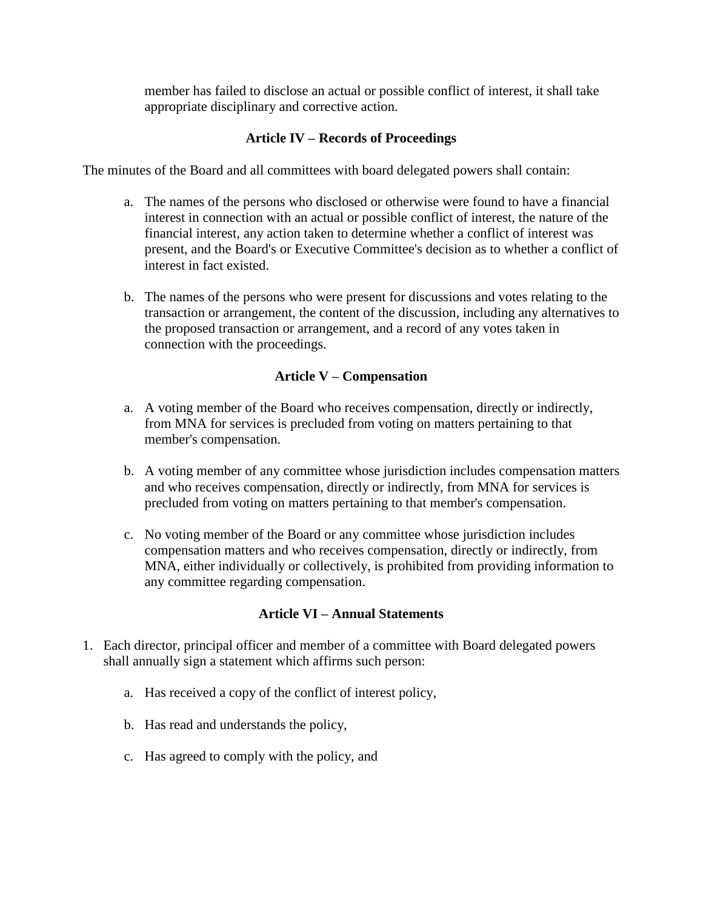member has failed to disclose an actual or possible conflict of interest, it shall take appropriate disciplinary and corrective action.

### **Article IV – Records of Proceedings**

The minutes of the Board and all committees with board delegated powers shall contain:

- a. The names of the persons who disclosed or otherwise were found to have a financial interest in connection with an actual or possible conflict of interest, the nature of the financial interest, any action taken to determine whether a conflict of interest was present, and the Board's or Executive Committee's decision as to whether a conflict of interest in fact existed.
- b. The names of the persons who were present for discussions and votes relating to the transaction or arrangement, the content of the discussion, including any alternatives to the proposed transaction or arrangement, and a record of any votes taken in connection with the proceedings.

### **Article V – Compensation**

- a. A voting member of the Board who receives compensation, directly or indirectly, from MNA for services is precluded from voting on matters pertaining to that member's compensation.
- b. A voting member of any committee whose jurisdiction includes compensation matters and who receives compensation, directly or indirectly, from MNA for services is precluded from voting on matters pertaining to that member's compensation.
- c. No voting member of the Board or any committee whose jurisdiction includes compensation matters and who receives compensation, directly or indirectly, from MNA, either individually or collectively, is prohibited from providing information to any committee regarding compensation.

#### **Article VI – Annual Statements**

- 1. Each director, principal officer and member of a committee with Board delegated powers shall annually sign a statement which affirms such person:
	- a. Has received a copy of the conflict of interest policy,
	- b. Has read and understands the policy,
	- c. Has agreed to comply with the policy, and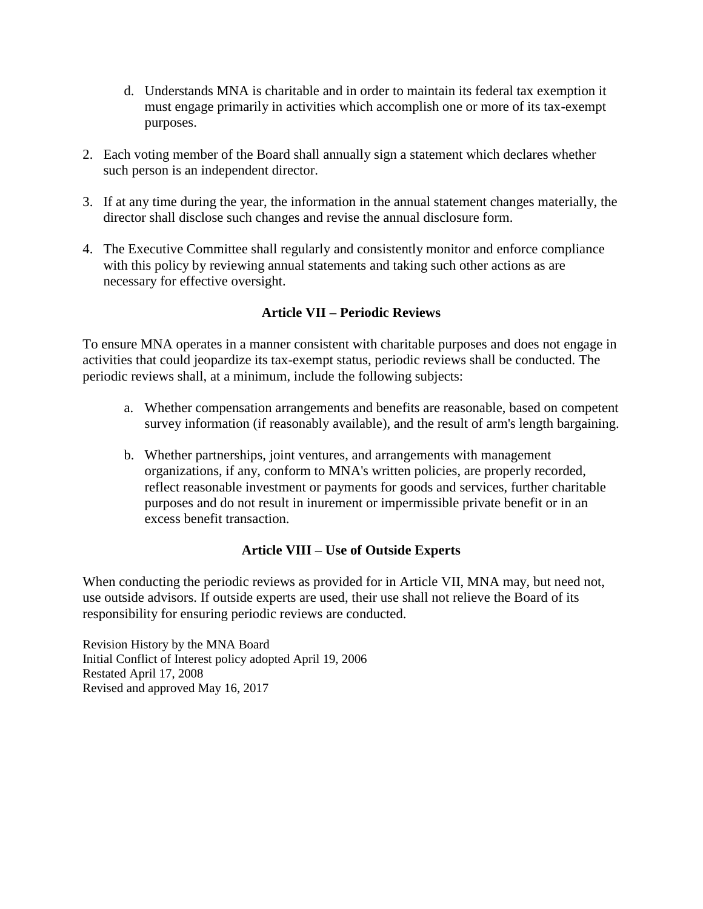- d. Understands MNA is charitable and in order to maintain its federal tax exemption it must engage primarily in activities which accomplish one or more of its tax-exempt purposes.
- 2. Each voting member of the Board shall annually sign a statement which declares whether such person is an independent director.
- 3. If at any time during the year, the information in the annual statement changes materially, the director shall disclose such changes and revise the annual disclosure form.
- 4. The Executive Committee shall regularly and consistently monitor and enforce compliance with this policy by reviewing annual statements and taking such other actions as are necessary for effective oversight.

## **Article VII – Periodic Reviews**

To ensure MNA operates in a manner consistent with charitable purposes and does not engage in activities that could jeopardize its tax-exempt status, periodic reviews shall be conducted. The periodic reviews shall, at a minimum, include the following subjects:

- a. Whether compensation arrangements and benefits are reasonable, based on competent survey information (if reasonably available), and the result of arm's length bargaining.
- b. Whether partnerships, joint ventures, and arrangements with management organizations, if any, conform to MNA's written policies, are properly recorded, reflect reasonable investment or payments for goods and services, further charitable purposes and do not result in inurement or impermissible private benefit or in an excess benefit transaction.

### **Article VIII – Use of Outside Experts**

When conducting the periodic reviews as provided for in Article VII, MNA may, but need not, use outside advisors. If outside experts are used, their use shall not relieve the Board of its responsibility for ensuring periodic reviews are conducted.

Revision History by the MNA Board Initial Conflict of Interest policy adopted April 19, 2006 Restated April 17, 2008 Revised and approved May 16, 2017